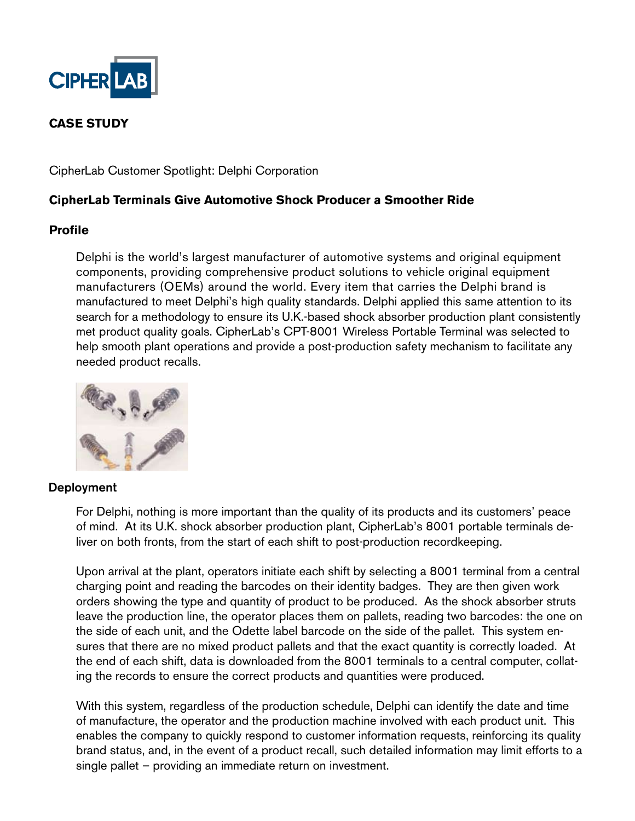

# **CASE STUDY**

CipherLab Customer Spotlight: Delphi Corporation

## **CipherLab Terminals Give Automotive Shock Producer a Smoother Ride**

### **Profile**

Delphi is the world's largest manufacturer of automotive systems and original equipment components, providing comprehensive product solutions to vehicle original equipment manufacturers (OEMs) around the world. Every item that carries the Delphi brand is manufactured to meet Delphi's high quality standards. Delphi applied this same attention to its search for a methodology to ensure its U.K.-based shock absorber production plant consistently met product quality goals. CipherLab's CPT-8001 Wireless Portable Terminal was selected to help smooth plant operations and provide a post-production safety mechanism to facilitate any needed product recalls.



#### Deployment

For Delphi, nothing is more important than the quality of its products and its customers' peace of mind. At its U.K. shock absorber production plant, CipherLab's 8001 portable terminals deliver on both fronts, from the start of each shift to post-production recordkeeping.

Upon arrival at the plant, operators initiate each shift by selecting a 8001 terminal from a central charging point and reading the barcodes on their identity badges. They are then given work orders showing the type and quantity of product to be produced. As the shock absorber struts leave the production line, the operator places them on pallets, reading two barcodes: the one on the side of each unit, and the Odette label barcode on the side of the pallet. This system ensures that there are no mixed product pallets and that the exact quantity is correctly loaded. At the end of each shift, data is downloaded from the 8001 terminals to a central computer, collating the records to ensure the correct products and quantities were produced.

With this system, regardless of the production schedule, Delphi can identify the date and time of manufacture, the operator and the production machine involved with each product unit. This enables the company to quickly respond to customer information requests, reinforcing its quality brand status, and, in the event of a product recall, such detailed information may limit efforts to a single pallet – providing an immediate return on investment.